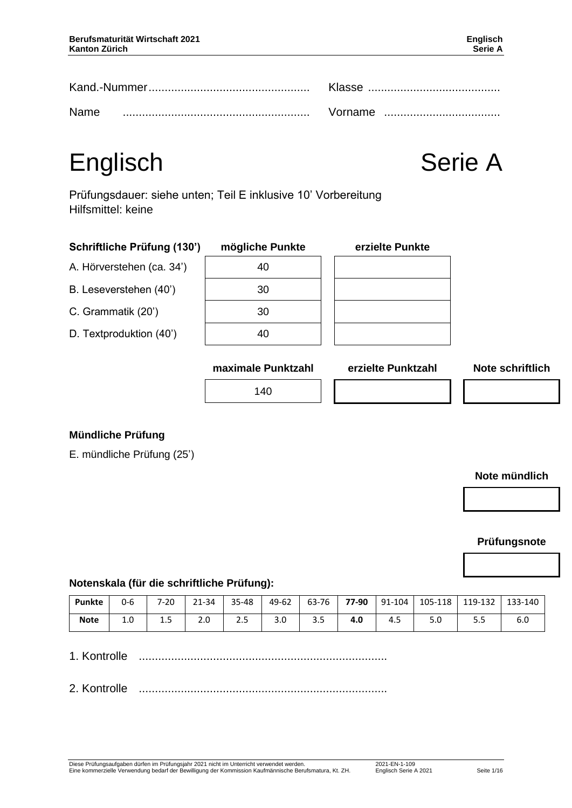|      | Klasse  |  |  |
|------|---------|--|--|
| Name | Vorname |  |  |

# Englisch Serie A

Prüfungsdauer: siehe unten; Teil E inklusive 10' Vorbereitung Hilfsmittel: keine

| Schriftliche Prüfung (130') | mögliche Punkte    | erzielte Punkte    |                         |
|-----------------------------|--------------------|--------------------|-------------------------|
| A. Hörverstehen (ca. 34')   | 40                 |                    |                         |
| B. Leseverstehen (40')      | 30                 |                    |                         |
| C. Grammatik (20')          | 30                 |                    |                         |
| D. Textproduktion (40')     | 40                 |                    |                         |
|                             | maximale Punktzahl | erzielte Punktzahl | <b>Note schriftlich</b> |
|                             | 140                |                    |                         |

# **Mündliche Prüfung**

E. mündliche Prüfung (25')

### **Note mündlich**

#### **Prüfungsnote**

# **Notenskala (für die schriftliche Prüfung):**

| Punkte      | 0-6 | $7 - 20$ | 21-34      | 35-48      | 49-62     | 63-76 | 77-90 | 91-104 | 105-118 | 119-132 | 133-140 |
|-------------|-----|----------|------------|------------|-----------|-------|-------|--------|---------|---------|---------|
| <b>Note</b> | 1.0 | 1.5      | ጎ ሰ<br>z.u | n r<br>ر.ء | າດ<br>3.U | 3.5   | 4.0   | 4.5    | 5.0     | ر.ر     | b.U     |

1. Kontrolle .............................................................................

2. Kontrolle .............................................................................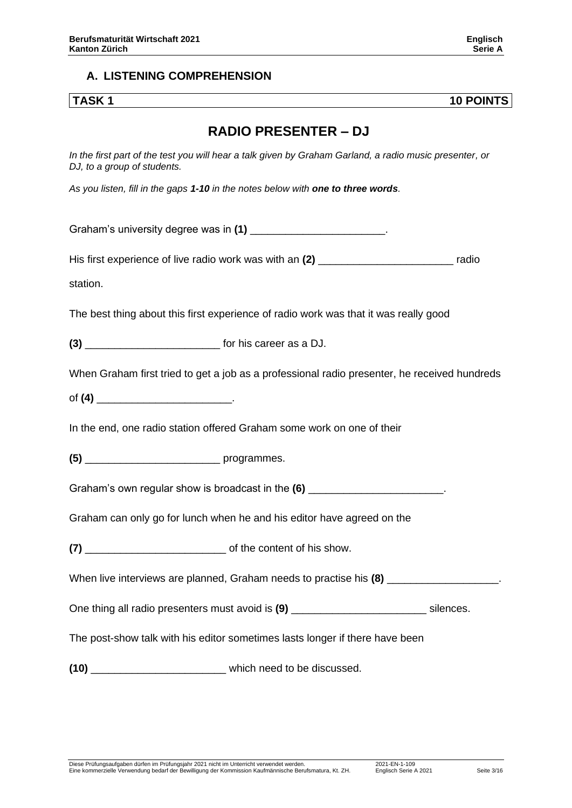# **A. LISTENING COMPREHENSION**

**10 POINTS** 

# **RADIO PRESENTER – DJ**

*In the first part of the test you will hear a talk given by Graham Garland, a radio music presenter, or DJ, to a group of students.*

*As you listen, fill in the gaps 1-10 in the notes below with one to three words.*

Graham's university degree was in **(1)** \_\_\_\_\_\_\_\_\_\_\_\_\_\_\_\_\_\_\_\_\_\_\_.

His first experience of live radio work was with an **(2)** \_\_\_\_\_\_\_\_\_\_\_\_\_\_\_\_\_\_\_\_\_\_\_ radio

station.

The best thing about this first experience of radio work was that it was really good

**(3)** \_\_\_\_\_\_\_\_\_\_\_\_\_\_\_\_\_\_\_\_\_\_\_ for his career as a DJ.

When Graham first tried to get a job as a professional radio presenter, he received hundreds

of **(4)** \_\_\_\_\_\_\_\_\_\_\_\_\_\_\_\_\_\_\_\_\_\_\_.

In the end, one radio station offered Graham some work on one of their

**(5)** \_\_\_\_\_\_\_\_\_\_\_\_\_\_\_\_\_\_\_\_\_\_\_ programmes.

Graham's own regular show is broadcast in the (6) **Example 20** Figures 2.

Graham can only go for lunch when he and his editor have agreed on the

**(7)** \_\_\_\_\_\_\_\_\_\_\_\_\_\_\_\_\_\_\_\_\_\_\_\_ of the content of his show.

When live interviews are planned, Graham needs to practise his **(8)** 

One thing all radio presenters must avoid is **(9)** \_\_\_\_\_\_\_\_\_\_\_\_\_\_\_\_\_\_\_\_\_\_\_ silences.

The post-show talk with his editor sometimes lasts longer if there have been

**(10)** \_\_\_\_\_\_\_\_\_\_\_\_\_\_\_\_\_\_\_\_\_\_\_ which need to be discussed.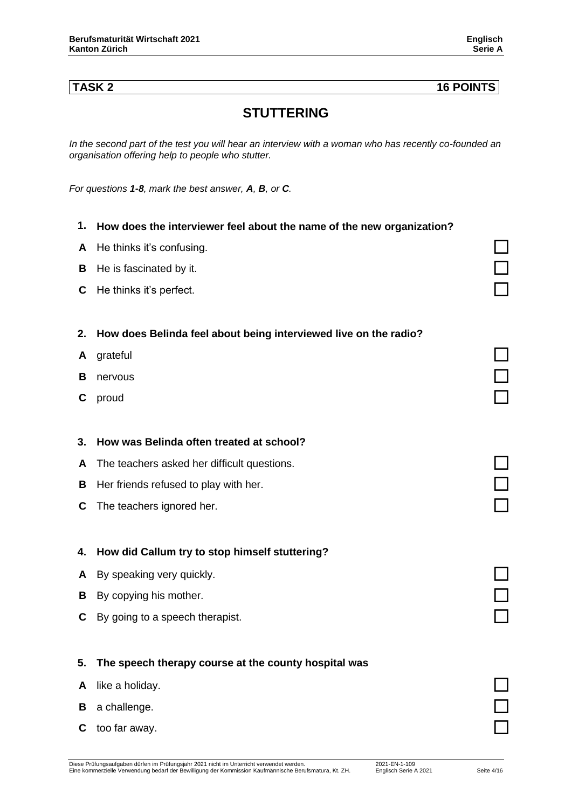# **TASK 2 16 POINTS**

# **STUTTERING**

*In the second part of the test you will hear an interview with a woman who has recently co-founded an organisation offering help to people who stutter.*

*For questions 1-8, mark the best answer, A, B, or C.* 

| 1. | How does the interviewer feel about the name of the new organization? |  |
|----|-----------------------------------------------------------------------|--|
| A  | He thinks it's confusing.                                             |  |
| В  | He is fascinated by it.                                               |  |
| C. | He thinks it's perfect.                                               |  |
|    |                                                                       |  |
| 2. | How does Belinda feel about being interviewed live on the radio?      |  |
| A  | grateful                                                              |  |
| в  | nervous                                                               |  |
| C  | proud                                                                 |  |
|    |                                                                       |  |
| 3. | How was Belinda often treated at school?                              |  |
| A  | The teachers asked her difficult questions.                           |  |
| В  | Her friends refused to play with her.                                 |  |
| С  | The teachers ignored her.                                             |  |
|    |                                                                       |  |
| 4. | How did Callum try to stop himself stuttering?                        |  |
| A  | By speaking very quickly.                                             |  |
| В  | By copying his mother.                                                |  |
| C  | By going to a speech therapist.                                       |  |
|    |                                                                       |  |
| 5. | The speech therapy course at the county hospital was                  |  |
| A  | like a holiday.                                                       |  |
| В  | a challenge.                                                          |  |
| С  | too far away.                                                         |  |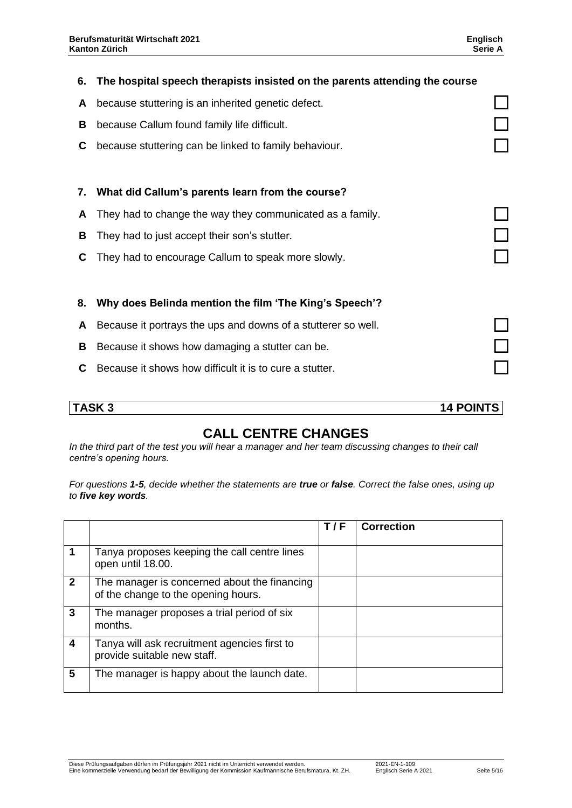#### **6. The hospital speech therapists insisted on the parents attending the course**

- **<sup>A</sup>** because stuttering is an inherited genetic defect.
- **B** because Callum found family life difficult.
- **<sup>C</sup>** because stuttering can be linked to family behaviour.

#### **7. What did Callum's parents learn from the course?**

- **<sup>A</sup>** They had to change the way they communicated as a family.
- **B** They had to just accept their son's stutter.
- **<sup>C</sup>** They had to encourage Callum to speak more slowly.

#### **8. Why does Belinda mention the film 'The King's Speech'?**

- **<sup>A</sup>** Because it portrays the ups and downs of a stutterer so well.
- **B** Because it shows how damaging a stutter can be.
- **<sup>C</sup>** Because it shows how difficult it is to cure a stutter.

**TASK 3 14 POINTS**

# **CALL CENTRE CHANGES**

In the third part of the test you will hear a manager and her team discussing changes to their call *centre's opening hours.*

*For questions 1-5, decide whether the statements are true or false. Correct the false ones, using up to five key words.* 

|              |                                                                                     | T/F | <b>Correction</b> |
|--------------|-------------------------------------------------------------------------------------|-----|-------------------|
|              | Tanya proposes keeping the call centre lines<br>open until 18.00.                   |     |                   |
| $\mathbf{2}$ | The manager is concerned about the financing<br>of the change to the opening hours. |     |                   |
| 3            | The manager proposes a trial period of six<br>months.                               |     |                   |
| 4            | Tanya will ask recruitment agencies first to<br>provide suitable new staff.         |     |                   |
| 5            | The manager is happy about the launch date.                                         |     |                   |

Diese Prüfungsaufgaben dürfen im Prüfungsjahr 2021 nicht im Unterricht verwendet werden. 2021-EN-1-109 Eine kommerzielle Verwendung bedarf der Bewilligung der Kommission Kaufmännische Berufsmatura, Kt. ZH. Englisch Serie A 2021 Seite 5/16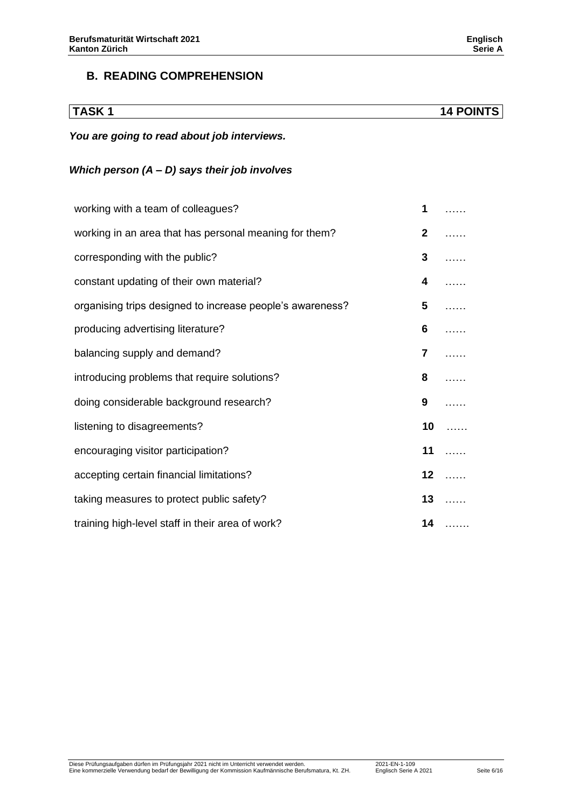# **B. READING COMPREHENSION**

| <b>TASK</b> | <b>14 POINTS</b> |
|-------------|------------------|
|             |                  |

### *You are going to read about job interviews.*

#### *Which person (A – D) says their job involves*

| working with a team of colleagues?                        | 1            |   |
|-----------------------------------------------------------|--------------|---|
| working in an area that has personal meaning for them?    | $\mathbf{2}$ |   |
| corresponding with the public?                            | 3            |   |
| constant updating of their own material?                  | 4            |   |
| organising trips designed to increase people's awareness? | 5            |   |
| producing advertising literature?                         | 6            |   |
| balancing supply and demand?                              | 7            |   |
| introducing problems that require solutions?              | 8            |   |
| doing considerable background research?                   | 9            |   |
| listening to disagreements?                               | 10           |   |
| encouraging visitor participation?                        | 11           |   |
| accepting certain financial limitations?                  | 12           |   |
| taking measures to protect public safety?                 | 13           | . |
| training high-level staff in their area of work?          | 14           |   |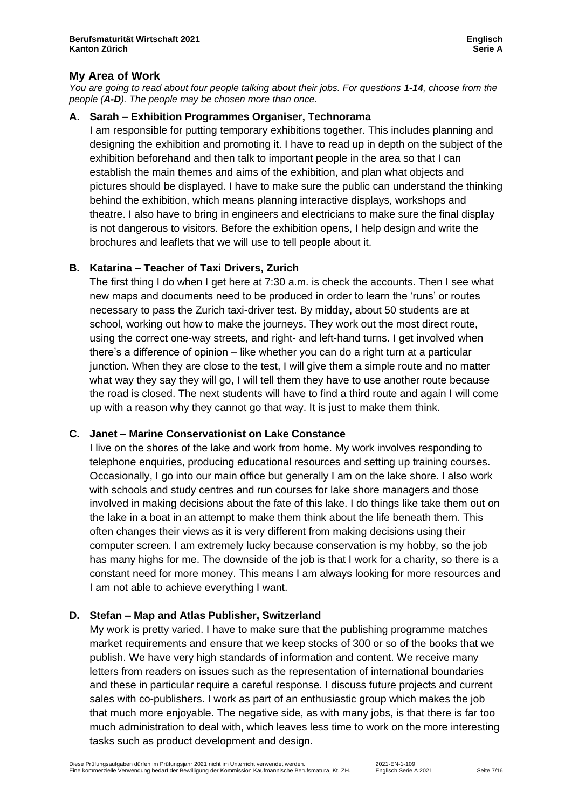*You are going to read about four people talking about their jobs. For questions 1-14, choose from the people (A-D). The people may be chosen more than once.*

## **A. Sarah – Exhibition Programmes Organiser, Technorama**

I am responsible for putting temporary exhibitions together. This includes planning and designing the exhibition and promoting it. I have to read up in depth on the subject of the exhibition beforehand and then talk to important people in the area so that I can establish the main themes and aims of the exhibition, and plan what objects and pictures should be displayed. I have to make sure the public can understand the thinking behind the exhibition, which means planning interactive displays, workshops and theatre. I also have to bring in engineers and electricians to make sure the final display is not dangerous to visitors. Before the exhibition opens, I help design and write the brochures and leaflets that we will use to tell people about it.

# **B. Katarina – Teacher of Taxi Drivers, Zurich**

The first thing I do when I get here at 7:30 a.m. is check the accounts. Then I see what new maps and documents need to be produced in order to learn the 'runs' or routes necessary to pass the Zurich taxi-driver test. By midday, about 50 students are at school, working out how to make the journeys. They work out the most direct route, using the correct one-way streets, and right- and left-hand turns. I get involved when there's a difference of opinion – like whether you can do a right turn at a particular junction. When they are close to the test, I will give them a simple route and no matter what way they say they will go, I will tell them they have to use another route because the road is closed. The next students will have to find a third route and again I will come up with a reason why they cannot go that way. It is just to make them think.

# **C. Janet – Marine Conservationist on Lake Constance**

I live on the shores of the lake and work from home. My work involves responding to telephone enquiries, producing educational resources and setting up training courses. Occasionally, I go into our main office but generally I am on the lake shore. I also work with schools and study centres and run courses for lake shore managers and those involved in making decisions about the fate of this lake. I do things like take them out on the lake in a boat in an attempt to make them think about the life beneath them. This often changes their views as it is very different from making decisions using their computer screen. I am extremely lucky because conservation is my hobby, so the job has many highs for me. The downside of the job is that I work for a charity, so there is a constant need for more money. This means I am always looking for more resources and I am not able to achieve everything I want.

# **D. Stefan – Map and Atlas Publisher, Switzerland**

My work is pretty varied. I have to make sure that the publishing programme matches market requirements and ensure that we keep stocks of 300 or so of the books that we publish. We have very high standards of information and content. We receive many letters from readers on issues such as the representation of international boundaries and these in particular require a careful response. I discuss future projects and current sales with co-publishers. I work as part of an enthusiastic group which makes the job that much more enjoyable. The negative side, as with many jobs, is that there is far too much administration to deal with, which leaves less time to work on the more interesting tasks such as product development and design.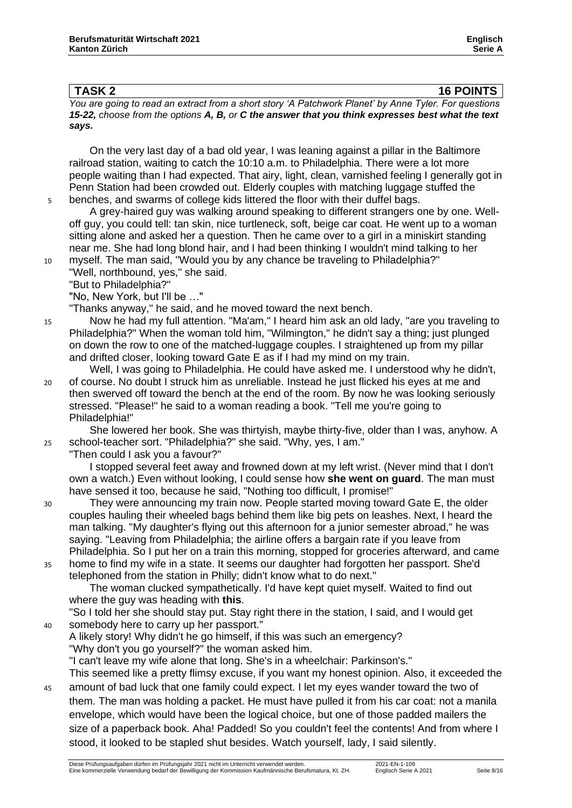**TASK 2 16 POINTS** *You are going to read an extract from a short story 'A Patchwork Planet' by Anne Tyler. For questions*

*15-22, choose from the options A, B, or C the answer that you think expresses best what the text says.*

On the very last day of a bad old year, I was leaning against a pillar in the Baltimore railroad station, waiting to catch the 10:10 a.m. to Philadelphia. There were a lot more people waiting than I had expected. That airy, light, clean, varnished feeling I generally got in Penn Station had been crowded out. Elderly couples with matching luggage stuffed the 5 benches, and swarms of college kids littered the floor with their duffel bags.

- A grey-haired guy was walking around speaking to different strangers one by one. Welloff guy, you could tell: tan skin, nice turtleneck, soft, beige car coat. He went up to a woman sitting alone and asked her a question. Then he came over to a girl in a miniskirt standing near me. She had long blond hair, and I had been thinking I wouldn't mind talking to her
- 10 myself. The man said, "Would you by any chance be traveling to Philadelphia?" "Well, northbound, yes," she said.
	- "But to Philadelphia?"

"No, New York, but I'll be …"

"Thanks anyway," he said, and he moved toward the next bench.

- 15 Now he had my full attention. "Ma'am," I heard him ask an old lady, "are you traveling to Philadelphia?" When the woman told him, "Wilmington," he didn't say a thing; just plunged on down the row to one of the matched-luggage couples. I straightened up from my pillar and drifted closer, looking toward Gate E as if I had my mind on my train.
- Well, I was going to Philadelphia. He could have asked me. I understood why he didn't, 20 of course. No doubt I struck him as unreliable. Instead he just flicked his eyes at me and then swerved off toward the bench at the end of the room. By now he was looking seriously stressed. "Please!" he said to a woman reading a book. "Tell me you're going to Philadelphia!"

She lowered her book. She was thirtyish, maybe thirty-five, older than I was, anyhow. A 25 school-teacher sort. "Philadelphia?" she said. "Why, yes, I am."

"Then could I ask you a favour?"

I stopped several feet away and frowned down at my left wrist. (Never mind that I don't own a watch.) Even without looking, I could sense how **she went on guard**. The man must have sensed it too, because he said, "Nothing too difficult, I promise!"

30 They were announcing my train now. People started moving toward Gate E, the older couples hauling their wheeled bags behind them like big pets on leashes. Next, I heard the man talking. "My daughter's flying out this afternoon for a junior semester abroad," he was saying. "Leaving from Philadelphia; the airline offers a bargain rate if you leave from Philadelphia. So I put her on a train this morning, stopped for groceries afterward, and came

35 home to find my wife in a state. It seems our daughter had forgotten her passport. She'd telephoned from the station in Philly; didn't know what to do next." The woman clucked sympathetically. I'd have kept quiet myself. Waited to find out

where the guy was heading with **this**. "So I told her she should stay put. Stay right there in the station, I said, and I would get 40 somebody here to carry up her passport."

- A likely story! Why didn't he go himself, if this was such an emergency? "Why don't you go yourself?" the woman asked him. "I can't leave my wife alone that long. She's in a wheelchair: Parkinson's." This seemed like a pretty flimsy excuse, if you want my honest opinion. Also, it exceeded the 45 amount of bad luck that one family could expect. I let my eyes wander toward the two of
- them. The man was holding a packet. He must have pulled it from his car coat: not a manila envelope, which would have been the logical choice, but one of those padded mailers the size of a paperback book. Aha! Padded! So you couldn't feel the contents! And from where I stood, it looked to be stapled shut besides. Watch yourself, lady, I said silently.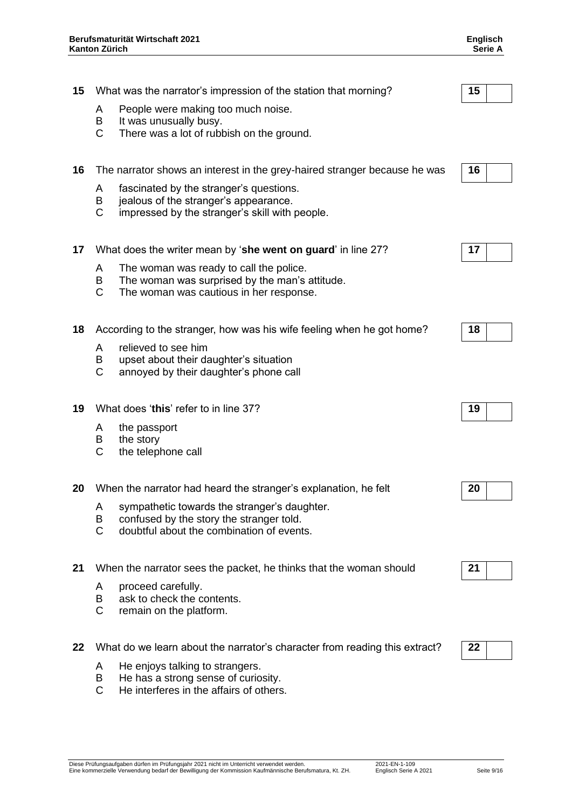| 15 |                        | What was the narrator's impression of the station that morning?                                                                       | 15 |
|----|------------------------|---------------------------------------------------------------------------------------------------------------------------------------|----|
|    | A<br>B<br>$\mathsf{C}$ | People were making too much noise.<br>It was unusually busy.<br>There was a lot of rubbish on the ground.                             |    |
| 16 |                        | The narrator shows an interest in the grey-haired stranger because he was                                                             | 16 |
|    | A<br>B<br>$\mathsf{C}$ | fascinated by the stranger's questions.<br>jealous of the stranger's appearance.<br>impressed by the stranger's skill with people.    |    |
| 17 |                        | What does the writer mean by 'she went on guard' in line 27?                                                                          | 17 |
|    | A<br>B<br>$\mathsf{C}$ | The woman was ready to call the police.<br>The woman was surprised by the man's attitude.<br>The woman was cautious in her response.  |    |
| 18 |                        | According to the stranger, how was his wife feeling when he got home?                                                                 | 18 |
|    | A<br>B<br>$\mathsf{C}$ | relieved to see him<br>upset about their daughter's situation<br>annoyed by their daughter's phone call                               |    |
| 19 |                        | What does 'this' refer to in line 37?                                                                                                 | 19 |
|    | A<br>B<br>$\mathsf{C}$ | the passport<br>the story<br>the telephone call                                                                                       |    |
| 20 |                        | When the narrator had heard the stranger's explanation, he felt                                                                       | 20 |
|    | A<br>B<br>$\mathsf{C}$ | sympathetic towards the stranger's daughter.<br>confused by the story the stranger told.<br>doubtful about the combination of events. |    |
| 21 |                        | When the narrator sees the packet, he thinks that the woman should                                                                    | 21 |
|    | A<br>B<br>C            | proceed carefully.<br>ask to check the contents.<br>remain on the platform.                                                           |    |

- **22** What do we learn about the narrator's character from reading this extract? **22**
	- A He enjoys talking to strangers.<br>B He has a strong sense of curio
	- He has a strong sense of curiosity.
	- C He interferes in the affairs of others.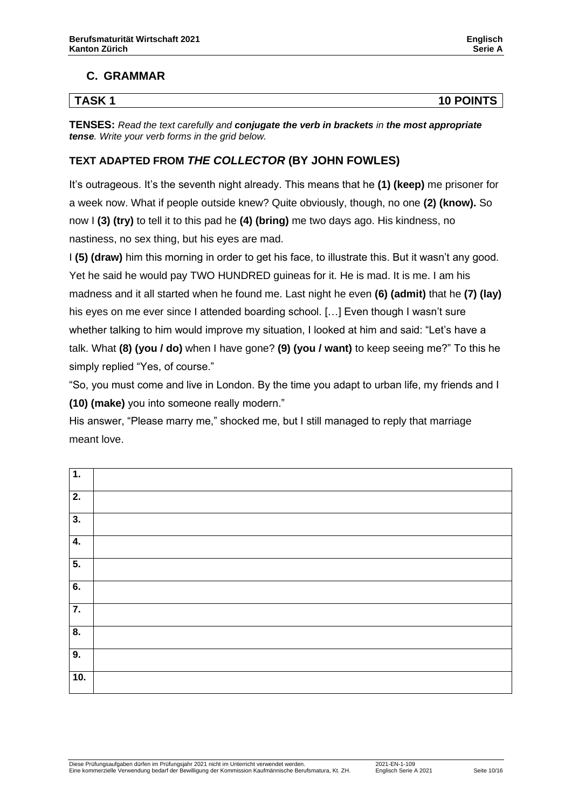# **C. GRAMMAR**

| TASK 1 | <b>10 POINTS</b> |
|--------|------------------|

**TENSES:** *Read the text carefully and conjugate the verb in brackets in the most appropriate tense. Write your verb forms in the grid below.*

# **TEXT ADAPTED FROM** *THE COLLECTOR* **(BY JOHN FOWLES)**

It's outrageous. It's the seventh night already. This means that he **(1) (keep)** me prisoner for a week now. What if people outside knew? Quite obviously, though, no one **(2) (know).** So now I **(3) (try)** to tell it to this pad he **(4) (bring)** me two days ago. His kindness, no nastiness, no sex thing, but his eyes are mad.

I **(5) (draw)** him this morning in order to get his face, to illustrate this. But it wasn't any good. Yet he said he would pay TWO HUNDRED guineas for it. He is mad. It is me. I am his madness and it all started when he found me. Last night he even **(6) (admit)** that he **(7) (lay)**  his eyes on me ever since I attended boarding school. […] Even though I wasn't sure whether talking to him would improve my situation, I looked at him and said: "Let's have a talk. What **(8) (you / do)** when I have gone? **(9) (you / want)** to keep seeing me?" To this he simply replied "Yes, of course."

"So, you must come and live in London. By the time you adapt to urban life, my friends and I **(10) (make)** you into someone really modern."

His answer, "Please marry me," shocked me, but I still managed to reply that marriage meant love.

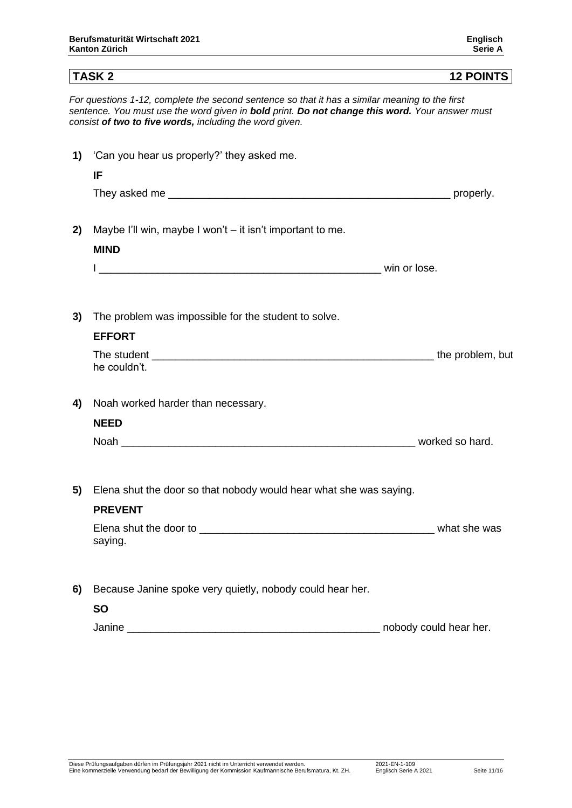# **TASK 2 12 POINTS**

*For questions 1-12, complete the second sentence so that it has a similar meaning to the first sentence. You must use the word given in bold print. Do not change this word. Your answer must consist of two to five words, including the word given.*

| 1) | 'Can you hear us properly?' they asked me.                               |  |
|----|--------------------------------------------------------------------------|--|
|    | IF                                                                       |  |
|    |                                                                          |  |
| 2) | Maybe I'll win, maybe I won't – it isn't important to me.<br><b>MIND</b> |  |
|    |                                                                          |  |
| 3) | The problem was impossible for the student to solve.                     |  |
|    | <b>EFFORT</b>                                                            |  |
|    | he couldn't.                                                             |  |
| 4) | Noah worked harder than necessary.                                       |  |
|    | <b>NEED</b>                                                              |  |
|    | Noah worked so hard.                                                     |  |
| 5) | Elena shut the door so that nobody would hear what she was saying.       |  |
|    | <b>PREVENT</b>                                                           |  |
|    | saying.                                                                  |  |
| 6) | Because Janine spoke very quietly, nobody could hear her.                |  |
|    | <b>SO</b>                                                                |  |
|    |                                                                          |  |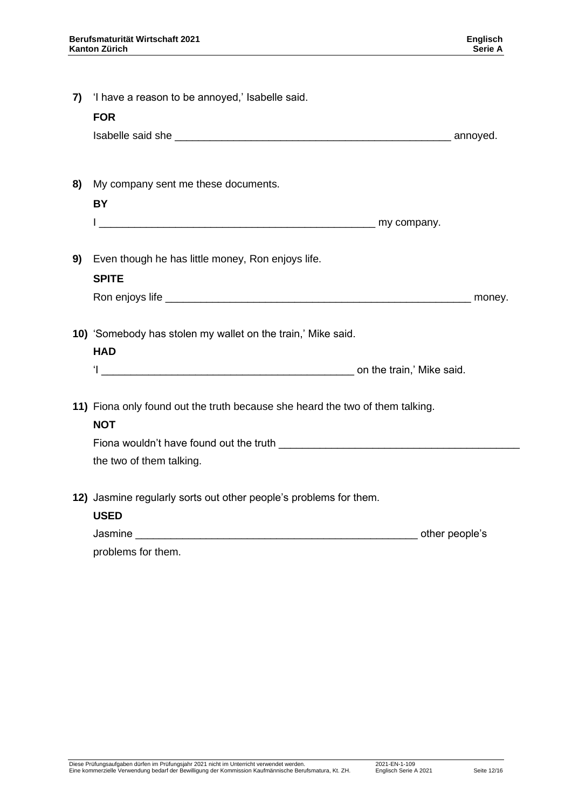| 7) | 'I have a reason to be annoyed,' Isabelle said.                               |                |
|----|-------------------------------------------------------------------------------|----------------|
|    | <b>FOR</b>                                                                    |                |
|    |                                                                               |                |
|    |                                                                               |                |
| 8) | My company sent me these documents.                                           |                |
|    | <b>BY</b>                                                                     |                |
|    |                                                                               |                |
|    |                                                                               |                |
| 9) | Even though he has little money, Ron enjoys life.                             |                |
|    | <b>SPITE</b>                                                                  |                |
|    |                                                                               |                |
|    |                                                                               |                |
|    | 10) 'Somebody has stolen my wallet on the train,' Mike said.                  |                |
|    | <b>HAD</b>                                                                    |                |
|    |                                                                               |                |
|    |                                                                               |                |
|    | 11) Fiona only found out the truth because she heard the two of them talking. |                |
|    | <b>NOT</b>                                                                    |                |
|    |                                                                               |                |
|    | the two of them talking.                                                      |                |
|    |                                                                               |                |
|    | 12) Jasmine regularly sorts out other people's problems for them.             |                |
|    | <b>USED</b>                                                                   |                |
|    |                                                                               | other people's |
|    | problems for them.                                                            |                |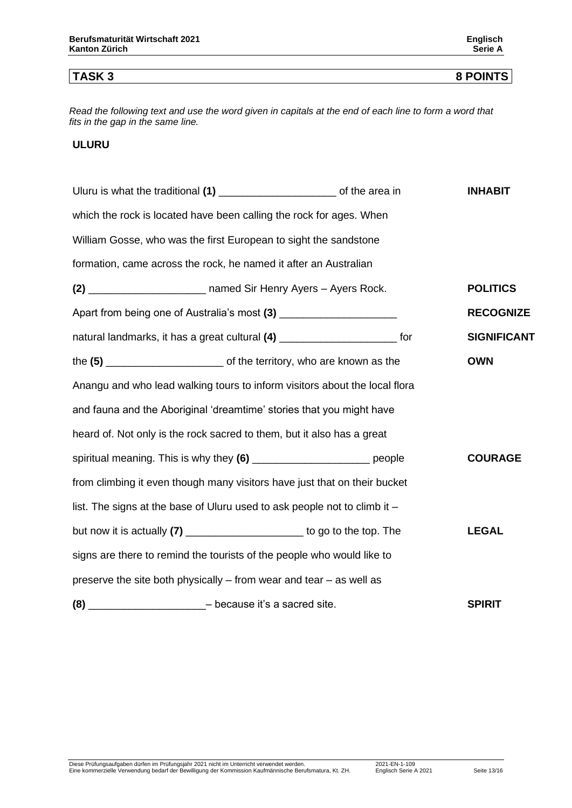**TASK 3 8 POINTS**

*Read the following text and use the word given in capitals at the end of each line to form a word that fits in the gap in the same line.* 

### **ULURU**

| Uluru is what the traditional (1) _____________________________ of the area in |  | <b>INHABIT</b>     |
|--------------------------------------------------------------------------------|--|--------------------|
| which the rock is located have been calling the rock for ages. When            |  |                    |
| William Gosse, who was the first European to sight the sandstone               |  |                    |
| formation, came across the rock, he named it after an Australian               |  |                    |
| (2) ____________________________ named Sir Henry Ayers - Ayers Rock.           |  | <b>POLITICS</b>    |
| Apart from being one of Australia's most (3) ______________________            |  | <b>RECOGNIZE</b>   |
| natural landmarks, it has a great cultural (4) ___________________________ for |  | <b>SIGNIFICANT</b> |
|                                                                                |  | <b>OWN</b>         |
| Anangu and who lead walking tours to inform visitors about the local flora     |  |                    |
| and fauna and the Aboriginal 'dreamtime' stories that you might have           |  |                    |
| heard of. Not only is the rock sacred to them, but it also has a great         |  |                    |
| spiritual meaning. This is why they (6) ________________________ people        |  | <b>COURAGE</b>     |
| from climbing it even though many visitors have just that on their bucket      |  |                    |
| list. The signs at the base of Uluru used to ask people not to climb it -      |  |                    |
| but now it is actually (7) ______________________ to go to the top. The        |  | <b>LEGAL</b>       |
| signs are there to remind the tourists of the people who would like to         |  |                    |
| preserve the site both physically – from wear and tear – as well as            |  |                    |
| (8) _______________________________- because it's a sacred site.               |  | <b>SPIRIT</b>      |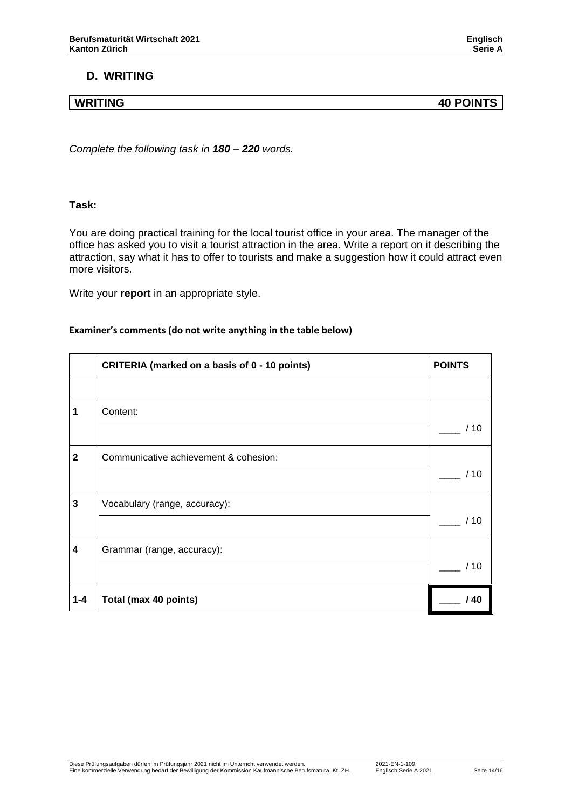# **D. WRITING**

**WRITING 40 POINTS**

*Complete the following task in 180 – 220 words.*

#### **Task:**

You are doing practical training for the local tourist office in your area. The manager of the office has asked you to visit a tourist attraction in the area. Write a report on it describing the attraction, say what it has to offer to tourists and make a suggestion how it could attract even more visitors.

Write your **report** in an appropriate style.

#### **Examiner's comments (do not write anything in the table below)**

|                | <b>CRITERIA (marked on a basis of 0 - 10 points)</b> | <b>POINTS</b>  |
|----------------|------------------------------------------------------|----------------|
|                |                                                      |                |
| 1              | Content:                                             |                |
|                |                                                      | $'$ 10         |
| $\overline{2}$ | Communicative achievement & cohesion:                |                |
|                |                                                      | / 10           |
| 3              | Vocabulary (range, accuracy):                        |                |
|                |                                                      | $^{\prime}$ 10 |
| 4              | Grammar (range, accuracy):                           |                |
|                |                                                      | 10 /           |
| $1 - 4$        | Total (max 40 points)                                | 40             |